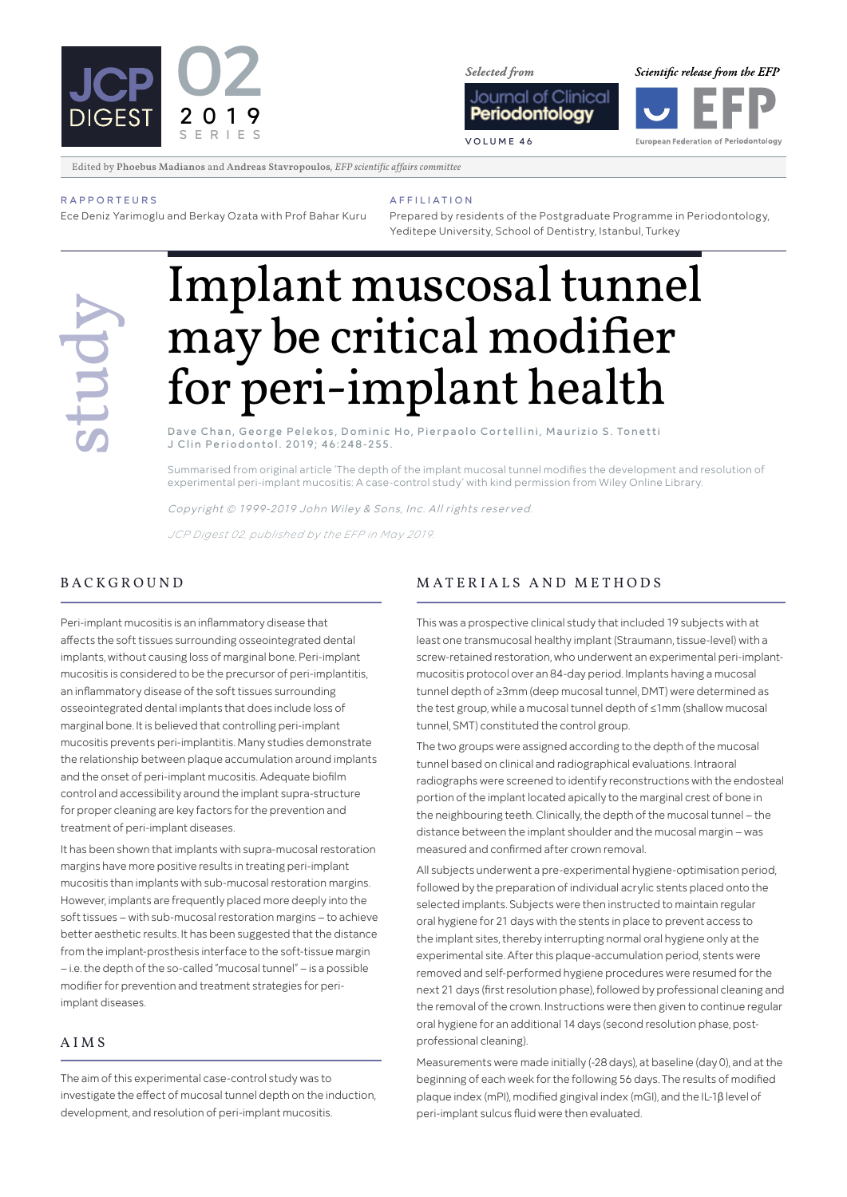

**Selected** from

Scientific release from the EFP



European Federation of Periodontology

Edited by Phoebus Madianos and Andreas Stavropoulos*, EFP scientific affairs committee*

#### **RAPPORTEIIRS**

Ece Deniz Yarimoglu and Berkay Ozata with Prof Bahar Kuru

Prepared by residents of the Postgraduate Programme in Periodontology, Yeditepe University, School of Dentistry, Istanbul, Turkey

# **Solution Contract Secret Pelekos, Dominic Ho, Pierpaolo Cortellini, Maurizio S. Tonetti** may be critical modifier for peri-implant health

AFFILIATION

Dave Chan, George Pelekos, Dominic Ho, Pierpaolo Cortellini, Maurizio S. Tonetti J Clin Periodontol. 2019; 46:248-255.

Summarised from original article 'The depth of the implant mucosal tunnel modifies the development and resolution of experimental peri-implant mucositis: A case-control study' with kind permission from Wiley Online Library.

Copyright © 1999-2019 John Wiley & Sons, Inc. All rights reserved.

*JCP Digest 02, published by the EFP in May 2019.* 

Peri-implant mucositis is an inflammatory disease that affects the soft tissues surrounding osseointegrated dental implants, without causing loss of marginal bone. Peri-implant mucositis is considered to be the precursor of peri-implantitis, an inflammatory disease of the soft tissues surrounding osseointegrated dental implants that does include loss of marginal bone. It is believed that controlling peri-implant mucositis prevents peri-implantitis. Many studies demonstrate the relationship between plaque accumulation around implants and the onset of peri-implant mucositis. Adequate biofilm control and accessibility around the implant supra-structure for proper cleaning are key factors for the prevention and treatment of peri-implant diseases.

It has been shown that implants with supra-mucosal restoration margins have more positive results in treating peri-implant mucositis than implants with sub-mucosal restoration margins. However, implants are frequently placed more deeply into the soft tissues – with sub-mucosal restoration margins – to achieve better aesthetic results. It has been suggested that the distance from the implant-prosthesis interface to the soft-tissue margin – i.e. the depth of the so-called "mucosal tunnel" – is a possible modifier for prevention and treatment strategies for periimplant diseases.

## AIMS

The aim of this experimental case-control study was to investigate the effect of mucosal tunnel depth on the induction, development, and resolution of peri-implant mucositis.

## BACKGROUND MATERIALS AND METHODS

This was a prospective clinical study that included 19 subjects with at least one transmucosal healthy implant (Straumann, tissue-level) with a screw-retained restoration, who underwent an experimental peri-implantmucositis protocol over an 84-day period. Implants having a mucosal tunnel depth of ≥3mm (deep mucosal tunnel, DMT) were determined as the test group, while a mucosal tunnel depth of ≤1mm (shallow mucosal tunnel, SMT) constituted the control group.

The two groups were assigned according to the depth of the mucosal tunnel based on clinical and radiographical evaluations. Intraoral radiographs were screened to identify reconstructions with the endosteal portion of the implant located apically to the marginal crest of bone in the neighbouring teeth. Clinically, the depth of the mucosal tunnel – the distance between the implant shoulder and the mucosal margin – was measured and confirmed after crown removal.

All subjects underwent a pre-experimental hygiene-optimisation period, followed by the preparation of individual acrylic stents placed onto the selected implants. Subjects were then instructed to maintain regular oral hygiene for 21 days with the stents in place to prevent access to the implant sites, thereby interrupting normal oral hygiene only at the experimental site. After this plaque-accumulation period, stents were removed and self-performed hygiene procedures were resumed for the next 21 days (first resolution phase), followed by professional cleaning and the removal of the crown. Instructions were then given to continue regular oral hygiene for an additional 14 days (second resolution phase, postprofessional cleaning).

Measurements were made initially (-28 days), at baseline (day 0), and at the beginning of each week for the following 56 days. The results of modified plaque index (mPI), modified gingival index (mGI), and the IL-1β level of peri-implant sulcus fluid were then evaluated.